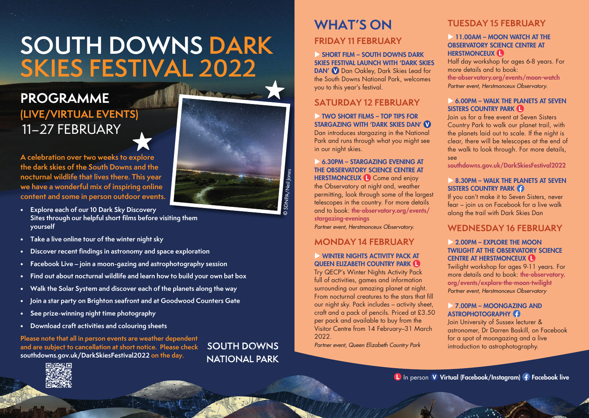# **SOUTH DOWNS DARK SKIES FESTIVAL 2022**

# 11–27 FEBRUARY **PROGRAMME (LIVE/VIRTUAL EVENTS)**

**A celebration over two weeks to explore the dark skies of the South Downs and the nocturnal wildlife that lives there. This year we have a wonderful mix of inspiring online content and some in person outdoor events.**

- **• Explore each of our 10 Dark Sky Discovery Sites through our helpful short films before visiting them yourself**
- **• Take a live online tour of the winter night sky**
- **• Discover recent findings in astronomy and space exploration**
- **• Facebook Live – join a moon-gazing and astrophotography session**
- **• Find out about nocturnal wildlife and learn how to build your own bat box**
- **• Walk the Solar System and discover each of the planets along the way**
- **• Join a star party on Brighton seafront and at Goodwood Counters Gate**
- **• See prize-winning night time photography**
- **• Download craft activities and colouring sheets**

**Please note that all in person events are weather dependent and are subject to cancellation at short notice. Please check [southdowns.gov.uk/DarkSkiesFestival2022](https://www.southdowns.gov.uk/DarkSkiesFestival2022) on the day.**

SOUTH DOWNS **NATIONAL PARK** 

# **WHAT'S ON**

# **FRIDAY 11 FEBRUARY**

 SHORT FILM – SOUTH DOWNS DARK SKIES FESTIVAL LAUNCH WITH 'DARK SKIES DAN' **V** Dan Oakley, Dark Skies Lead for the South Downs National Park, welcomes you to this year's festival.

# **SATURDAY 12 FEBRUARY**

#### TWO SHORT FILMS – TOP TIPS FOR STARGAZING WITH 'DARK SKIES DAN'

Dan introduces stargazing in the National Park and runs through what you might see in our night skies.

#### 6.30PM – STARGAZING EVENING AT THE OBSERVATORY SCIENCE CENTRE AT HERSTMONCEUX **C** Come and enjoy

the Observatory at night and, weather permitting, look through some of the largest telescopes in the country. For more details and to book: [the-observatory.org/events/](https://www.the-observatory.org/events/stargazing-evenings) [stargazing-evenings](https://www.the-observatory.org/events/stargazing-evenings)

*Partner event, Herstmonceux Observatory.*

# **MONDAY 14 FEBRUARY**

#### WINTER NIGHTS ACTIVITY PACK AT QUEEN ELIZABETH COUNTRY PARK **O**

Try QECP's Winter Nights Activity Pack full of activities, games and information surrounding our amazing planet at night. From nocturnal creatures to the stars that fill our night sky. Pack includes – activity sheet, craft and a pack of pencils. Priced at £3.50 per pack and available to buy from the Visitor Centre from 14 February–31 March 2022.

*Partner event, Queen Elizabeth Country Park*

# **TUESDAY 15 FEBRUARY**

#### **11.00AM – MOON WATCH AT THE** OBSERVATORY SCIENCE CENTRE AT HERSTMONCEUX<sup>(1)</sup>

Half day workshop for ages 6-8 years. For more details and to book: [the-observatory.org/events/moon-watch](https://www.the-observatory.org/events/moon-watch)

*Partner event, Herstmonceux Observatory.*

#### 6.00PM – WALK THE PLANETS AT SEVEN SISTERS COUNTRY PARK

Join us for a free event at Seven Sisters Country Park to walk our planet trail, with the planets laid out to scale. If the night is clear, there will be telescopes at the end of the walk to look through. For more details, see

[southdowns.gov.uk/DarkSkiesFestival2022](https://www.southdowns.gov.uk/DarkSkiesFestival2022)

#### 8.30PM – WALK THE PLANETS AT SEVEN SISTERS COUNTRY PARK **C**

If you can't make it to Seven Sisters, never fear – join us on Facebook for a live walk along the trail with Dark Skies Dan

# **WEDNESDAY 16 FEBRUARY**

#### 2.00PM – EXPLORE THE MOON TWILIGHT AT THE OBSERVATORY SCIENCE CENTRE AT HERSTMONCEUX

Twilight workshop for ages 9-11 years. For more details and to book: [the-observatory.](https://www.the-observatory.org/events/explore-the-moon-twilight) [org/events/explore-the-moon-twilight](https://www.the-observatory.org/events/explore-the-moon-twilight) *Partner event, Herstmonceux Observatory*

#### 7.00PM – MOONGAZING AND ASTROPHOTOGRAPHY<sup>2</sup>

Join University of Sussex lecturer & astronomer, Dr Darren Baskill, on Facebook for a spot of moongazing and a live introduction to astrophotography.

**L** In person **V** Virtual (Facebook/Instagram) f Facebook live